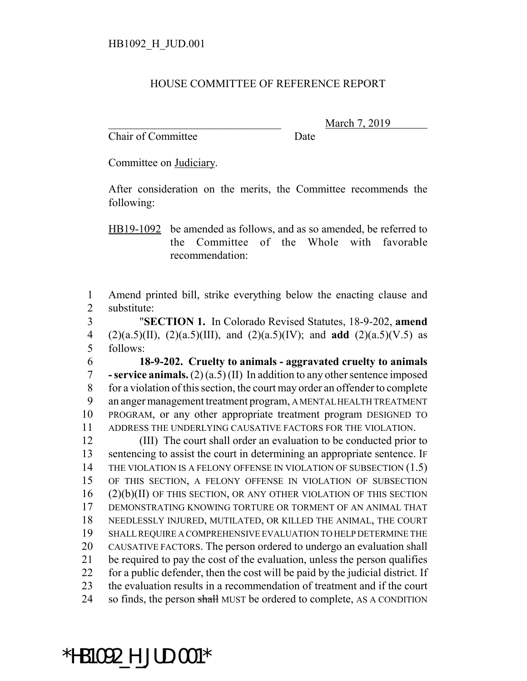## HOUSE COMMITTEE OF REFERENCE REPORT

Chair of Committee Date

March 7, 2019

Committee on Judiciary.

After consideration on the merits, the Committee recommends the following:

HB19-1092 be amended as follows, and as so amended, be referred to the Committee of the Whole with favorable recommendation:

 Amend printed bill, strike everything below the enacting clause and substitute:

 "**SECTION 1.** In Colorado Revised Statutes, 18-9-202, **amend** (2)(a.5)(II), (2)(a.5)(III), and (2)(a.5)(IV); and **add** (2)(a.5)(V.5) as follows:

 **18-9-202. Cruelty to animals - aggravated cruelty to animals - service animals.** (2) (a.5) (II) In addition to any other sentence imposed for a violation of this section, the court may order an offender to complete an anger management treatment program, A MENTAL HEALTH TREATMENT PROGRAM, or any other appropriate treatment program DESIGNED TO ADDRESS THE UNDERLYING CAUSATIVE FACTORS FOR THE VIOLATION.

 (III) The court shall order an evaluation to be conducted prior to sentencing to assist the court in determining an appropriate sentence. IF 14 THE VIOLATION IS A FELONY OFFENSE IN VIOLATION OF SUBSECTION (1.5) OF THIS SECTION, A FELONY OFFENSE IN VIOLATION OF SUBSECTION (2)(b)(II) OF THIS SECTION, OR ANY OTHER VIOLATION OF THIS SECTION DEMONSTRATING KNOWING TORTURE OR TORMENT OF AN ANIMAL THAT NEEDLESSLY INJURED, MUTILATED, OR KILLED THE ANIMAL, THE COURT SHALL REQUIRE A COMPREHENSIVE EVALUATION TO HELP DETERMINE THE CAUSATIVE FACTORS. The person ordered to undergo an evaluation shall be required to pay the cost of the evaluation, unless the person qualifies for a public defender, then the cost will be paid by the judicial district. If the evaluation results in a recommendation of treatment and if the court 24 so finds, the person shall MUST be ordered to complete, AS A CONDITION

\*HB1092\_H\_JUD.001\*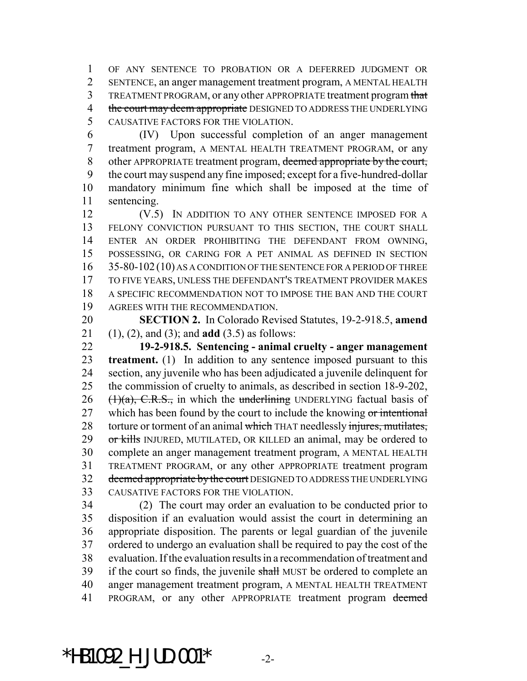OF ANY SENTENCE TO PROBATION OR A DEFERRED JUDGMENT OR SENTENCE, an anger management treatment program, A MENTAL HEALTH 3 TREATMENT PROGRAM, or any other APPROPRIATE treatment program that 4 the court may deem appropriate DESIGNED TO ADDRESS THE UNDERLYING CAUSATIVE FACTORS FOR THE VIOLATION.

 (IV) Upon successful completion of an anger management treatment program, A MENTAL HEALTH TREATMENT PROGRAM, or any other APPROPRIATE treatment program, deemed appropriate by the court, the court may suspend any fine imposed; except for a five-hundred-dollar mandatory minimum fine which shall be imposed at the time of sentencing.

12 (V.5) IN ADDITION TO ANY OTHER SENTENCE IMPOSED FOR A FELONY CONVICTION PURSUANT TO THIS SECTION, THE COURT SHALL ENTER AN ORDER PROHIBITING THE DEFENDANT FROM OWNING, POSSESSING, OR CARING FOR A PET ANIMAL AS DEFINED IN SECTION 16 35-80-102 (10) AS A CONDITION OF THE SENTENCE FOR A PERIOD OF THREE TO FIVE YEARS, UNLESS THE DEFENDANT'S TREATMENT PROVIDER MAKES A SPECIFIC RECOMMENDATION NOT TO IMPOSE THE BAN AND THE COURT AGREES WITH THE RECOMMENDATION.

 **SECTION 2.** In Colorado Revised Statutes, 19-2-918.5, **amend** (1), (2), and (3); and **add** (3.5) as follows:

 **19-2-918.5. Sentencing - animal cruelty - anger management treatment.** (1) In addition to any sentence imposed pursuant to this section, any juvenile who has been adjudicated a juvenile delinquent for the commission of cruelty to animals, as described in section 18-9-202,  $(1)(a)$ , C.R.S., in which the underlining UNDERLYING factual basis of 27 which has been found by the court to include the knowing or intentional 28 torture or torment of an animal which THAT needlessly injures, mutilates, 29 or kills INJURED, MUTILATED, OR KILLED an animal, may be ordered to complete an anger management treatment program, A MENTAL HEALTH TREATMENT PROGRAM, or any other APPROPRIATE treatment program 32 deemed appropriate by the court DESIGNED TO ADDRESS THE UNDERLYING CAUSATIVE FACTORS FOR THE VIOLATION.

 (2) The court may order an evaluation to be conducted prior to disposition if an evaluation would assist the court in determining an appropriate disposition. The parents or legal guardian of the juvenile ordered to undergo an evaluation shall be required to pay the cost of the evaluation. If the evaluation results in a recommendation of treatment and 39 if the court so finds, the juvenile shall MUST be ordered to complete an anger management treatment program, A MENTAL HEALTH TREATMENT 41 PROGRAM, or any other APPROPRIATE treatment program deemed

 $*$ HB1092 H JUD.001 $*$  -2-